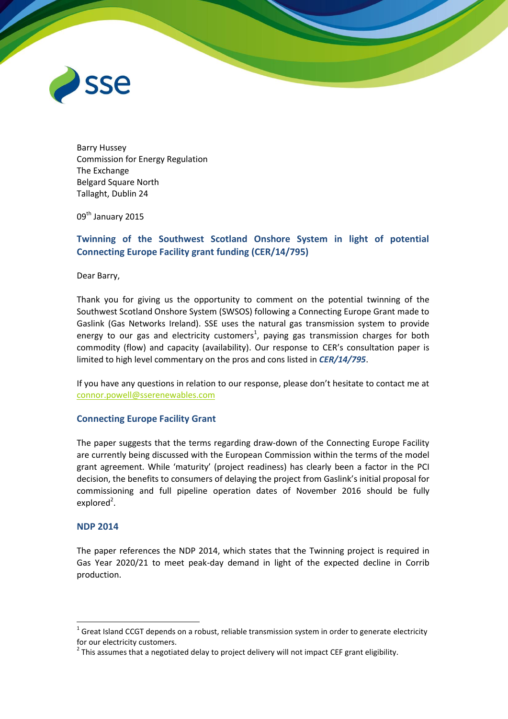

Barry Hussey Commission for Energy Regulation The Exchange Belgard Square North Tallaght, Dublin 24

09th January 2015

# **Twinning of the Southwest Scotland Onshore System in light of potential Connecting Europe Facility grant funding (CER/14/795)**

Dear Barry,

Thank you for giving us the opportunity to comment on the potential twinning of the Southwest Scotland Onshore System (SWSOS) following a Connecting Europe Grant made to Gaslink (Gas Networks Ireland). SSE uses the natural gas transmission system to provide energy to our gas and electricity customers<sup>1</sup>, paying gas transmission charges for both commodity (flow) and capacity (availability). Our response to CER's consultation paper is limited to high level commentary on the pros and cons listed in *CER/14/795*.

If you have any questions in relation to our response, please don't hesitate to contact me at [connor.powell@sserenewables.com](mailto:connor.powell@sserenewables.com)

### **Connecting Europe Facility Grant**

The paper suggests that the terms regarding draw-down of the Connecting Europe Facility are currently being discussed with the European Commission within the terms of the model grant agreement. While 'maturity' (project readiness) has clearly been a factor in the PCI decision, the benefits to consumers of delaying the project from Gaslink's initial proposal for commissioning and full pipeline operation dates of November 2016 should be fully explored<sup>2</sup>.

### **NDP 2014**

1

The paper references the NDP 2014, which states that the Twinning project is required in Gas Year 2020/21 to meet peak-day demand in light of the expected decline in Corrib production.

 $1$  Great Island CCGT depends on a robust, reliable transmission system in order to generate electricity for our electricity customers.

 $^{2}$  This assumes that a negotiated delay to project delivery will not impact CEF grant eligibility.